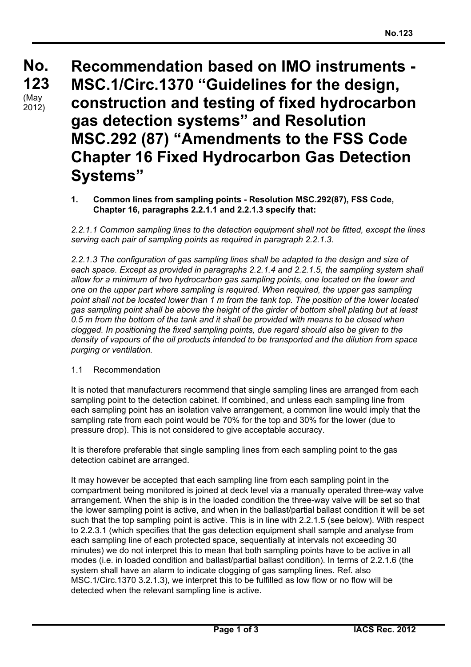**No. No. 123 123**  $(May)$ 2012)

**Recommendation based on IMO instruments - MSC.1/Circ.1370 "Guidelines for the design, construction and testing of fixed hydrocarbon gas detection systems" and Resolution MSC.292 (87) "Amendments to the FSS Code Chapter 16 Fixed Hydrocarbon Gas Detection Systems"**

**1. Common lines from sampling points - Resolution MSC.292(87), FSS Code, Chapter 16, paragraphs 2.2.1.1 and 2.2.1.3 specify that:**

*2.2.1.1 Common sampling lines to the detection equipment shall not be fitted, except the lines serving each pair of sampling points as required in paragraph 2.2.1.3.*

*2.2.1.3 The configuration of gas sampling lines shall be adapted to the design and size of each space. Except as provided in paragraphs 2.2.1.4 and 2.2.1.5, the sampling system shall allow for a minimum of two hydrocarbon gas sampling points, one located on the lower and one on the upper part where sampling is required. When required, the upper gas sampling point shall not be located lower than 1 m from the tank top. The position of the lower located gas sampling point shall be above the height of the girder of bottom shell plating but at least 0.5 m from the bottom of the tank and it shall be provided with means to be closed when clogged. In positioning the fixed sampling points, due regard should also be given to the density of vapours of the oil products intended to be transported and the dilution from space purging or ventilation.*

### 1.1 Recommendation

It is noted that manufacturers recommend that single sampling lines are arranged from each sampling point to the detection cabinet. If combined, and unless each sampling line from each sampling point has an isolation valve arrangement, a common line would imply that the sampling rate from each point would be 70% for the top and 30% for the lower (due to pressure drop). This is not considered to give acceptable accuracy.

It is therefore preferable that single sampling lines from each sampling point to the gas detection cabinet are arranged.

It may however be accepted that each sampling line from each sampling point in the compartment being monitored is joined at deck level via a manually operated three-way valve arrangement. When the ship is in the loaded condition the three-way valve will be set so that the lower sampling point is active, and when in the ballast/partial ballast condition it will be set such that the top sampling point is active. This is in line with 2.2.1.5 (see below). With respect to 2.2.3.1 (which specifies that the gas detection equipment shall sample and analyse from each sampling line of each protected space, sequentially at intervals not exceeding 30 minutes) we do not interpret this to mean that both sampling points have to be active in all modes (i.e. in loaded condition and ballast/partial ballast condition). In terms of 2.2.1.6 (the system shall have an alarm to indicate clogging of gas sampling lines. Ref. also MSC.1/Circ.1370 3.2.1.3), we interpret this to be fulfilled as low flow or no flow will be detected when the relevant sampling line is active.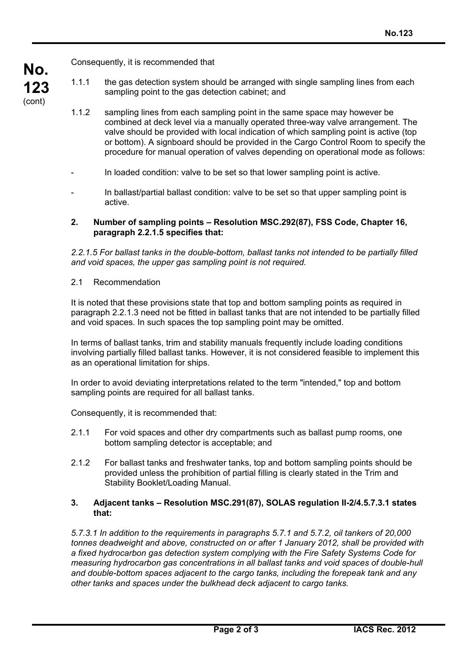

Consequently, it is recommended that

- 1.1.1 the gas detection system should be arranged with single sampling lines from each sampling point to the gas detection cabinet; and
- 1.1.2 sampling lines from each sampling point in the same space may however be combined at deck level via a manually operated three-way valve arrangement. The valve should be provided with local indication of which sampling point is active (top or bottom). A signboard should be provided in the Cargo Control Room to specify the procedure for manual operation of valves depending on operational mode as follows:
- In loaded condition: valve to be set so that lower sampling point is active.
- In ballast/partial ballast condition: valve to be set so that upper sampling point is active.

### **2. Number of sampling points – Resolution MSC.292(87), FSS Code, Chapter 16, paragraph 2.2.1.5 specifies that:**

*2.2.1.5 For ballast tanks in the double-bottom, ballast tanks not intended to be partially filled and void spaces, the upper gas sampling point is not required.*

# 2.1 Recommendation

It is noted that these provisions state that top and bottom sampling points as required in paragraph 2.2.1.3 need not be fitted in ballast tanks that are not intended to be partially filled and void spaces. In such spaces the top sampling point may be omitted.

In terms of ballast tanks, trim and stability manuals frequently include loading conditions involving partially filled ballast tanks. However, it is not considered feasible to implement this as an operational limitation for ships.

In order to avoid deviating interpretations related to the term "intended," top and bottom sampling points are required for all ballast tanks.

Consequently, it is recommended that:

- 2.1.1 For void spaces and other dry compartments such as ballast pump rooms, one bottom sampling detector is acceptable; and
- 2.1.2 For ballast tanks and freshwater tanks, top and bottom sampling points should be provided unless the prohibition of partial filling is clearly stated in the Trim and Stability Booklet/Loading Manual.

### **3. Adjacent tanks – Resolution MSC.291(87), SOLAS regulation II-2/4.5.7.3.1 states that:**

*5.7.3.1 In addition to the requirements in paragraphs 5.7.1 and 5.7.2, oil tankers of 20,000 tonnes deadweight and above, constructed on or after 1 January 2012, shall be provided with a fixed hydrocarbon gas detection system complying with the Fire Safety Systems Code for measuring hydrocarbon gas concentrations in all ballast tanks and void spaces of double-hull and double-bottom spaces adjacent to the cargo tanks, including the forepeak tank and any other tanks and spaces under the bulkhead deck adjacent to cargo tanks.*